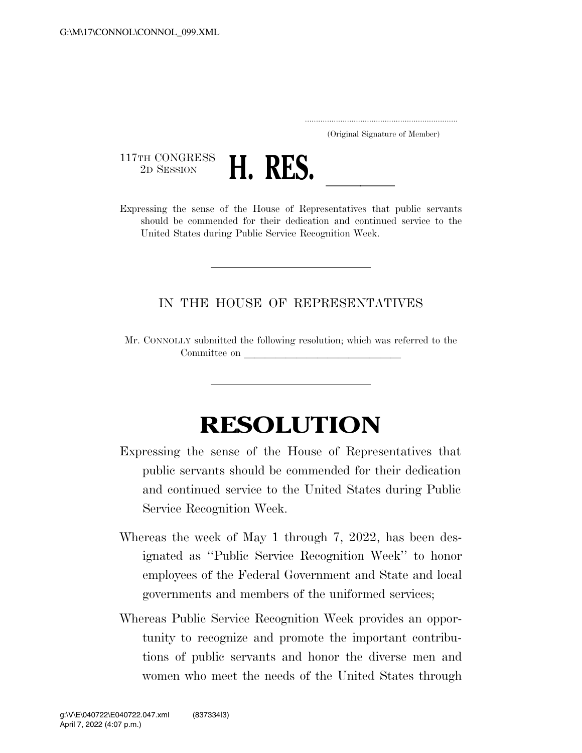..................................................................... (Original Signature of Member)

117TH CONGRESS<br>2D SESSION



2D SESSION **H. RES.** <u>Lexpressing</u> the sense of the House of Representatives that public servants should be commended for their dedication and continued service to the United States during Public Service Recognition Week.

## IN THE HOUSE OF REPRESENTATIVES

Mr. CONNOLLY submitted the following resolution; which was referred to the Committee on

## **RESOLUTION**

- Expressing the sense of the House of Representatives that public servants should be commended for their dedication and continued service to the United States during Public Service Recognition Week.
- Whereas the week of May 1 through 7, 2022, has been designated as ''Public Service Recognition Week'' to honor employees of the Federal Government and State and local governments and members of the uniformed services;
- Whereas Public Service Recognition Week provides an opportunity to recognize and promote the important contributions of public servants and honor the diverse men and women who meet the needs of the United States through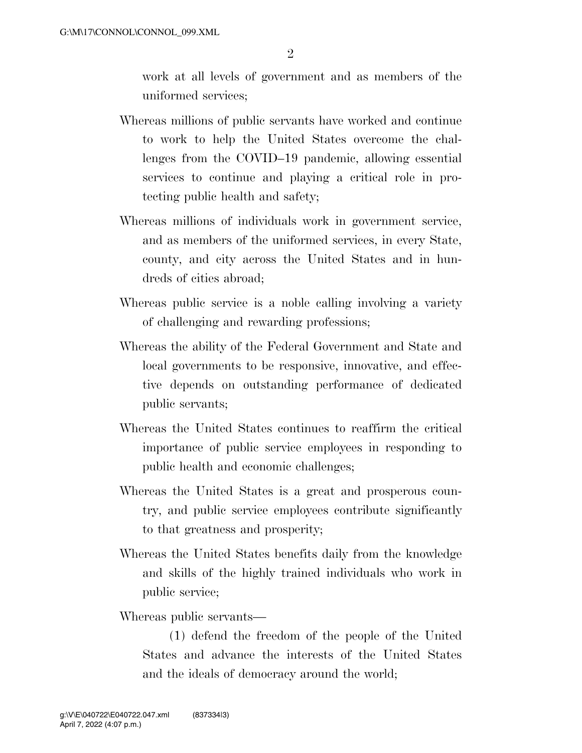work at all levels of government and as members of the uniformed services;

- Whereas millions of public servants have worked and continue to work to help the United States overcome the challenges from the COVID–19 pandemic, allowing essential services to continue and playing a critical role in protecting public health and safety;
- Whereas millions of individuals work in government service, and as members of the uniformed services, in every State, county, and city across the United States and in hundreds of cities abroad;
- Whereas public service is a noble calling involving a variety of challenging and rewarding professions;
- Whereas the ability of the Federal Government and State and local governments to be responsive, innovative, and effective depends on outstanding performance of dedicated public servants;
- Whereas the United States continues to reaffirm the critical importance of public service employees in responding to public health and economic challenges;
- Whereas the United States is a great and prosperous country, and public service employees contribute significantly to that greatness and prosperity;
- Whereas the United States benefits daily from the knowledge and skills of the highly trained individuals who work in public service;

Whereas public servants—

(1) defend the freedom of the people of the United States and advance the interests of the United States and the ideals of democracy around the world;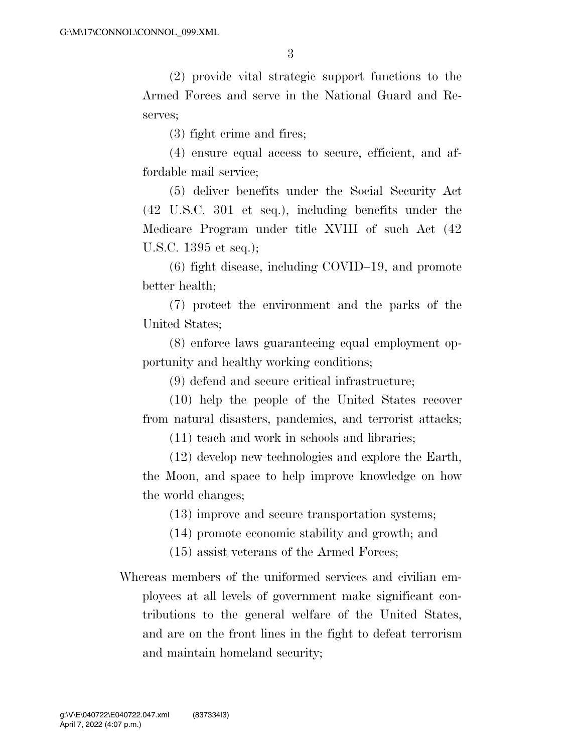(2) provide vital strategic support functions to the Armed Forces and serve in the National Guard and Reserves;

(3) fight crime and fires;

(4) ensure equal access to secure, efficient, and affordable mail service;

(5) deliver benefits under the Social Security Act (42 U.S.C. 301 et seq.), including benefits under the Medicare Program under title XVIII of such Act (42 U.S.C. 1395 et seq.);

(6) fight disease, including COVID–19, and promote better health;

(7) protect the environment and the parks of the United States;

(8) enforce laws guaranteeing equal employment opportunity and healthy working conditions;

(9) defend and secure critical infrastructure;

(10) help the people of the United States recover from natural disasters, pandemics, and terrorist attacks;

(11) teach and work in schools and libraries;

(12) develop new technologies and explore the Earth, the Moon, and space to help improve knowledge on how the world changes;

(13) improve and secure transportation systems;

(14) promote economic stability and growth; and

(15) assist veterans of the Armed Forces;

Whereas members of the uniformed services and civilian employees at all levels of government make significant contributions to the general welfare of the United States, and are on the front lines in the fight to defeat terrorism and maintain homeland security;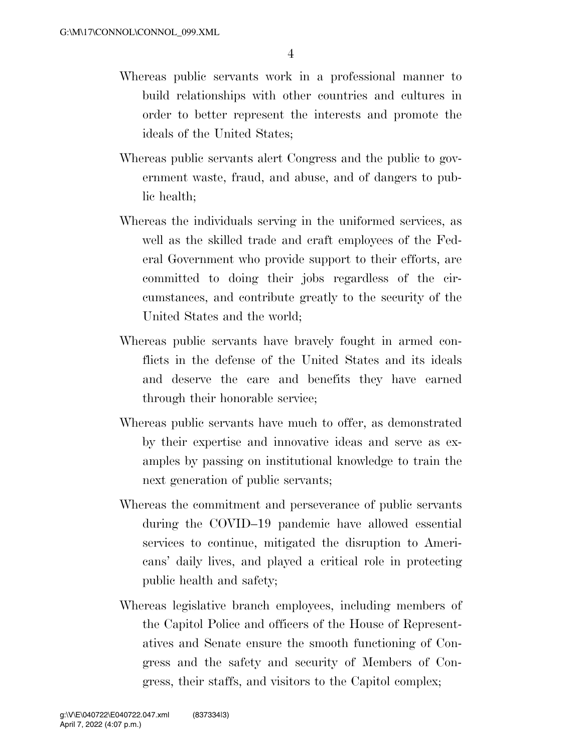- Whereas public servants work in a professional manner to build relationships with other countries and cultures in order to better represent the interests and promote the ideals of the United States;
- Whereas public servants alert Congress and the public to government waste, fraud, and abuse, and of dangers to public health;
- Whereas the individuals serving in the uniformed services, as well as the skilled trade and craft employees of the Federal Government who provide support to their efforts, are committed to doing their jobs regardless of the circumstances, and contribute greatly to the security of the United States and the world;
- Whereas public servants have bravely fought in armed conflicts in the defense of the United States and its ideals and deserve the care and benefits they have earned through their honorable service;
- Whereas public servants have much to offer, as demonstrated by their expertise and innovative ideas and serve as examples by passing on institutional knowledge to train the next generation of public servants;
- Whereas the commitment and perseverance of public servants during the COVID–19 pandemic have allowed essential services to continue, mitigated the disruption to Americans' daily lives, and played a critical role in protecting public health and safety;
- Whereas legislative branch employees, including members of the Capitol Police and officers of the House of Representatives and Senate ensure the smooth functioning of Congress and the safety and security of Members of Congress, their staffs, and visitors to the Capitol complex;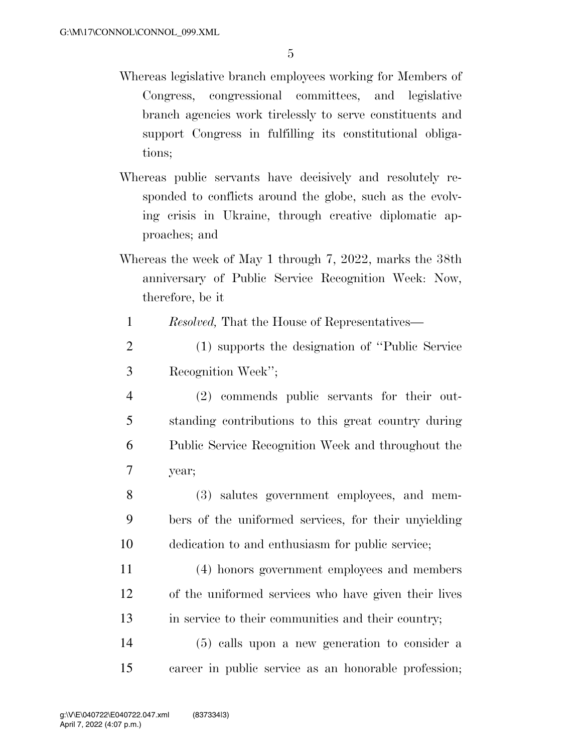- Whereas legislative branch employees working for Members of Congress, congressional committees, and legislative branch agencies work tirelessly to serve constituents and support Congress in fulfilling its constitutional obligations;
- Whereas public servants have decisively and resolutely responded to conflicts around the globe, such as the evolving crisis in Ukraine, through creative diplomatic approaches; and
- Whereas the week of May 1 through 7, 2022, marks the 38th anniversary of Public Service Recognition Week: Now, therefore, be it

1 *Resolved,* That the House of Representatives—

- 2 (1) supports the designation of ''Public Service 3 Recognition Week'';
- 4 (2) commends public servants for their out-5 standing contributions to this great country during 6 Public Service Recognition Week and throughout the 7 year;
- 8 (3) salutes government employees, and mem-9 bers of the uniformed services, for their unyielding 10 dedication to and enthusiasm for public service;
- 11 (4) honors government employees and members 12 of the uniformed services who have given their lives 13 in service to their communities and their country;

14 (5) calls upon a new generation to consider a 15 career in public service as an honorable profession;